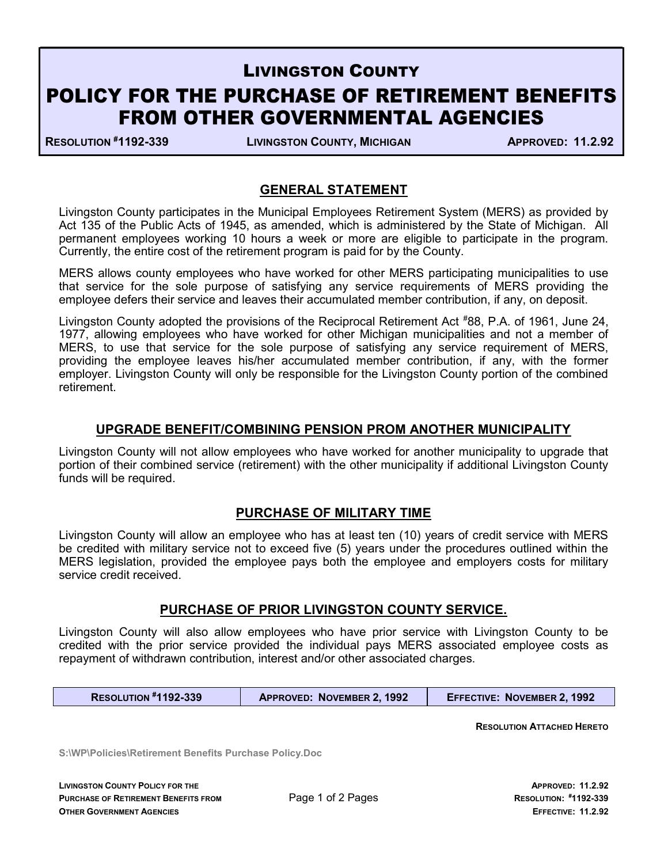# LIVINGSTON COUNTY POLICY FOR THE PURCHASE OF RETIREMENT BENEFITS FROM OTHER GOVERNMENTAL AGENCIES

RESOLUTION #1192-339 LIVINGSTON COUNTY, MICHIGAN APPROVED: 11.2.92

## GENERAL STATEMENT

Livingston County participates in the Municipal Employees Retirement System (MERS) as provided by Act 135 of the Public Acts of 1945, as amended, which is administered by the State of Michigan. All permanent employees working 10 hours a week or more are eligible to participate in the program. Currently, the entire cost of the retirement program is paid for by the County.

MERS allows county employees who have worked for other MERS participating municipalities to use that service for the sole purpose of satisfying any service requirements of MERS providing the employee defers their service and leaves their accumulated member contribution, if any, on deposit.

Livingston County adopted the provisions of the Reciprocal Retirement Act #88, P.A. of 1961, June 24, 1977, allowing employees who have worked for other Michigan municipalities and not a member of MERS, to use that service for the sole purpose of satisfying any service requirement of MERS, providing the employee leaves his/her accumulated member contribution, if any, with the former employer. Livingston County will only be responsible for the Livingston County portion of the combined retirement.

## UPGRADE BENEFIT/COMBINING PENSION PROM ANOTHER MUNICIPALITY

Livingston County will not allow employees who have worked for another municipality to upgrade that portion of their combined service (retirement) with the other municipality if additional Livingston County funds will be required.

## PURCHASE OF MILITARY TIME

Livingston County will allow an employee who has at least ten (10) years of credit service with MERS be credited with military service not to exceed five (5) years under the procedures outlined within the MERS legislation, provided the employee pays both the employee and employers costs for military service credit received.

#### PURCHASE OF PRIOR LIVINGSTON COUNTY SERVICE.

Livingston County will also allow employees who have prior service with Livingston County to be credited with the prior service provided the individual pays MERS associated employee costs as repayment of withdrawn contribution, interest and/or other associated charges.

| <b>RESOLUTION #1192-339</b> | <b>APPROVED: NOVEMBER 2.1992</b> | <b>EFFECTIVE: NOVEMBER 2.1992</b> |
|-----------------------------|----------------------------------|-----------------------------------|
|-----------------------------|----------------------------------|-----------------------------------|

RESOLUTION ATTACHED HERETO

S:\WP\Policies\Retirement Benefits Purchase Policy.Doc